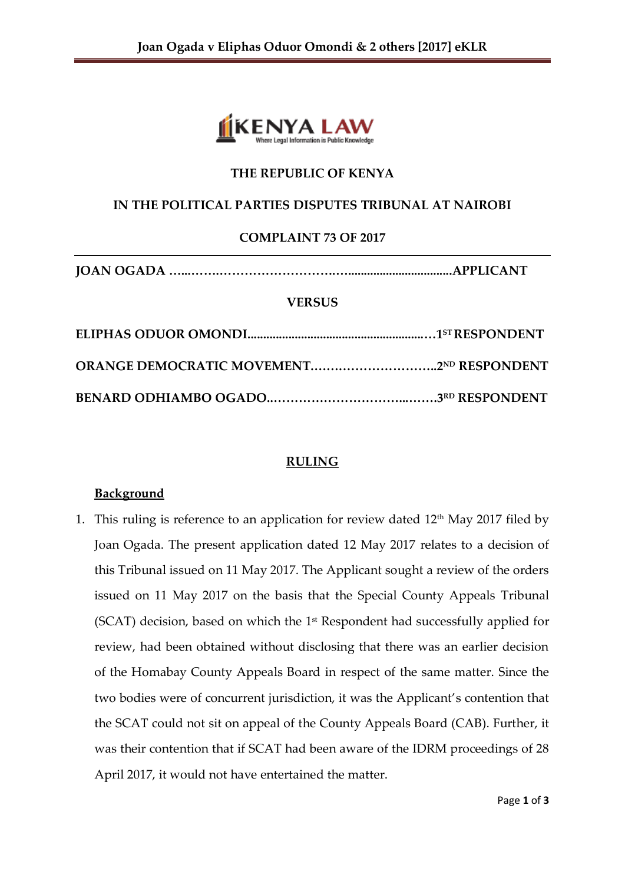

# **THE REPUBLIC OF KENYA**

# **IN THE POLITICAL PARTIES DISPUTES TRIBUNAL AT NAIROBI**

## **COMPLAINT 73 OF 2017**

```
JOAN OGADA …...…….……………………….….................................APPLICANT
```
#### **VERSUS**

## **RULING**

#### **Background**

1. This ruling is reference to an application for review dated  $12<sup>th</sup>$  May 2017 filed by Joan Ogada. The present application dated 12 May 2017 relates to a decision of this Tribunal issued on 11 May 2017. The Applicant sought a review of the orders issued on 11 May 2017 on the basis that the Special County Appeals Tribunal  $(SCAT)$  decision, based on which the  $1<sup>st</sup>$  Respondent had successfully applied for review, had been obtained without disclosing that there was an earlier decision of the Homabay County Appeals Board in respect of the same matter. Since the two bodies were of concurrent jurisdiction, it was the Applicant's contention that the SCAT could not sit on appeal of the County Appeals Board (CAB). Further, it was their contention that if SCAT had been aware of the IDRM proceedings of 28 April 2017, it would not have entertained the matter.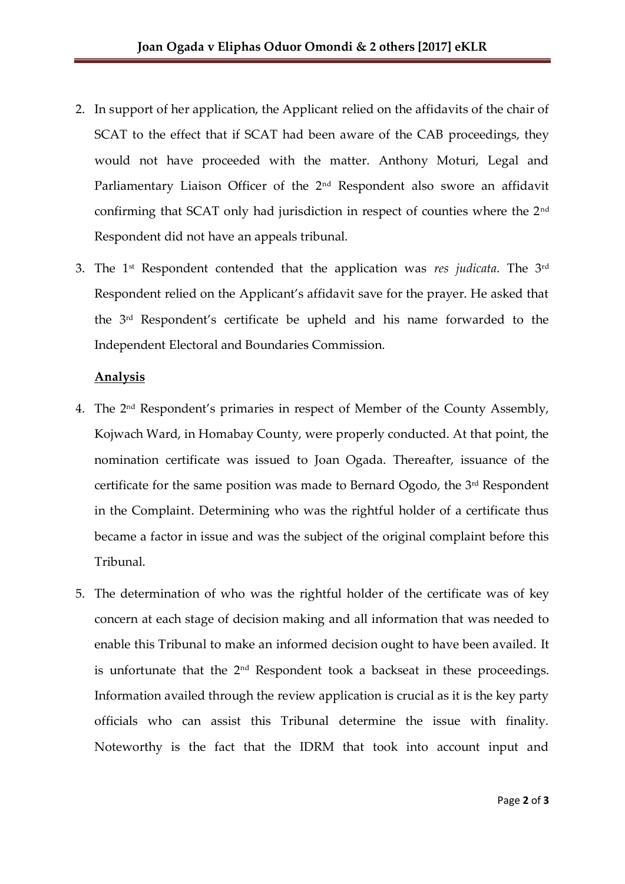- 2. In support of her application, the Applicant relied on the affidavits of the chair of SCAT to the effect that if SCAT had been aware of the CAB proceedings, they would not have proceeded with the matter. Anthony Moturi, Legal and Parliamentary Liaison Officer of the 2<sup>nd</sup> Respondent also swore an affidavit confirming that SCAT only had jurisdiction in respect of counties where the 2nd Respondent did not have an appeals tribunal.
- 3. The 1st Respondent contended that the application was *res judicata*. The 3rd Respondent relied on the Applicant's affidavit save for the prayer. He asked that the 3rd Respondent's certificate be upheld and his name forwarded to the Independent Electoral and Boundaries Commission.

## **Analysis**

- 4. The 2nd Respondent's primaries in respect of Member of the County Assembly, Kojwach Ward, in Homabay County, were properly conducted. At that point, the nomination certificate was issued to Joan Ogada. Thereafter, issuance of the certificate for the same position was made to Bernard Ogodo, the 3rd Respondent in the Complaint. Determining who was the rightful holder of a certificate thus became a factor in issue and was the subject of the original complaint before this Tribunal.
- 5. The determination of who was the rightful holder of the certificate was of key concern at each stage of decision making and all information that was needed to enable this Tribunal to make an informed decision ought to have been availed. It is unfortunate that the 2nd Respondent took a backseat in these proceedings. Information availed through the review application is crucial as it is the key party officials who can assist this Tribunal determine the issue with finality. Noteworthy is the fact that the IDRM that took into account input and